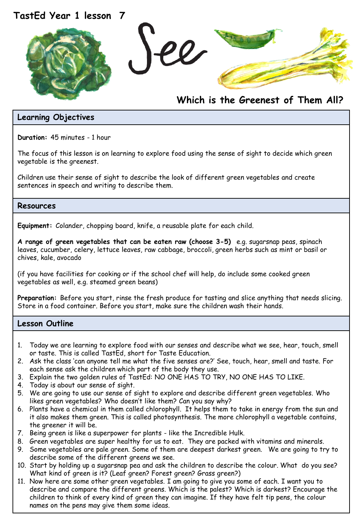

# **Which is the Greenest of Them All?**

## **Learning Objectives**

**Duration:** 45 minutes - 1 hour

The focus of this lesson is on learning to explore food using the sense of sight to decide which green vegetable is the greenest.

Children use their sense of sight to describe the look of different green vegetables and create sentences in speech and writing to describe them.

#### **Resources**

**Equipment:** Colander, chopping board, knife, a reusable plate for each child.

**A range of green vegetables that can be eaten raw (choose 3-5)** e.g. sugarsnap peas, spinach leaves, cucumber, celery, lettuce leaves, raw cabbage, broccoli, green herbs such as mint or basil or chives, kale, avocado

(if you have facilities for cooking or if the school chef will help, do include some cooked green vegetables as well, e.g. steamed green beans)

**Preparation:** Before you start, rinse the fresh produce for tasting and slice anything that needs slicing. Store in a food container. Before you start, make sure the children wash their hands.

#### **Lesson Outline**

- 1. Today we are learning to explore food with our senses and describe what we see, hear, touch, smell or taste. This is called TastEd, short for Taste Education.
- 2. Ask the class 'can anyone tell me what the five senses are?' See, touch, hear, smell and taste. For each sense ask the children which part of the body they use.
- 3. Explain the two golden rules of TastEd: NO ONE HAS TO TRY, NO ONE HAS TO LIKE.
- 4. Today is about our sense of sight.
- 5. We are going to use our sense of sight to explore and describe different green vegetables. Who likes green vegetables? Who doesn't like them? Can you say why?
- 6. Plants have a chemical in them called chlorophyll. It helps them to take in energy from the sun and it also makes them green. This is called photosynthesis. The more chlorophyll a vegetable contains, the greener it will be.
- 7. Being green is like a superpower for plants like the Incredible Hulk.
- 8. Green vegetables are super healthy for us to eat. They are packed with vitamins and minerals.
- 9. Some vegetables are pale green. Some of them are deepest darkest green. We are going to try to describe some of the different greens we see.
- 10. Start by holding up a sugarsnap pea and ask the children to describe the colour. What do you see? What kind of green is it? (Leaf green? Forest green? Grass green?)
- 11. Now here are some other green vegetables. I am going to give you some of each. I want you to describe and compare the different greens. Which is the palest? Which is darkest? Encourage the children to think of every kind of green they can imagine. If they have felt tip pens, the colour names on the pens may give them some ideas.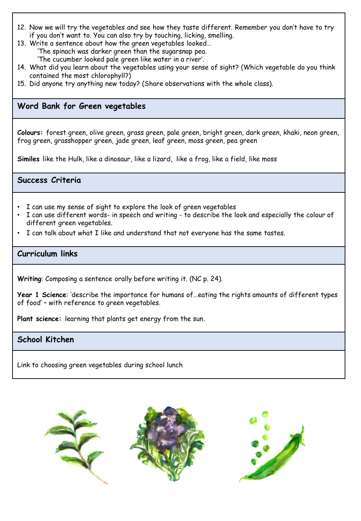- 12. Now we will try the vegetables and see how they taste different. Remember you don't have to try if you don't want to. You can also try by touching, licking, smelling.
- 13. Write a sentence about how the green vegetables looked… 'The spinach was darker green than the sugarsnap pea. 'The cucumber looked pale green like water in a river'.
- 14. What did you learn about the vegetables using your sense of sight? (Which vegetable do you think contained the most chlorophyll?)
- 15. Did anyone try anything new today? (Share observations with the whole class).

# **Word Bank for Green vegetables**

**Colours:** forest green, olive green, grass green, pale green, bright green, dark green, khaki, neon green, frog green, grasshopper green, jade green, leaf green, moss green, pea green

**Similes** like the Hulk, like a dinosaur, like a lizard, like a frog, like a field, like moss

**Success Criteria**

- I can use my sense of sight to explore the look of green vegetables
- I can use different words- in speech and writing to describe the look and especially the colour of different green vegetables.
- I can talk about what I like and understand that not everyone has the same tastes.

#### **Curriculum links**

**Writing**: Composing a sentence orally before writing it. (NC p. 24).

**Year 1 Science**: 'describe the importance for humans of…eating the rights amounts of different types of food' – with reference to green vegetables.

**Plant science:** learning that plants get energy from the sun.

# **School Kitchen**

Link to choosing green vegetables during school lunch